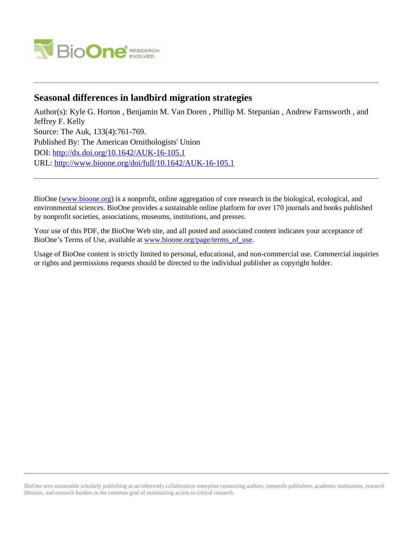

# **Seasonal differences in landbird migration strategies**

Author(s): Kyle G. Horton , Benjamin M. Van Doren , Phillip M. Stepanian , Andrew Farnsworth , and Jeffrey F. Kelly Source: The Auk, 133(4):761-769. Published By: The American Ornithologists' Union DOI:<http://dx.doi.org/10.1642/AUK-16-105.1> URL: <http://www.bioone.org/doi/full/10.1642/AUK-16-105.1>

BioOne [\(www.bioone.org\)](http://www.bioone.org) is a nonprofit, online aggregation of core research in the biological, ecological, and environmental sciences. BioOne provides a sustainable online platform for over 170 journals and books published by nonprofit societies, associations, museums, institutions, and presses.

Your use of this PDF, the BioOne Web site, and all posted and associated content indicates your acceptance of BioOne's Terms of Use, available at [www.bioone.org/page/terms\\_of\\_use.](http://www.bioone.org/page/terms_of_use)

Usage of BioOne content is strictly limited to personal, educational, and non-commercial use. Commercial inquiries or rights and permissions requests should be directed to the individual publisher as copyright holder.

BioOne sees sustainable scholarly publishing as an inherently collaborative enterprise connecting authors, nonprofit publishers, academic institutions, research libraries, and research funders in the common goal of maximizing access to critical research.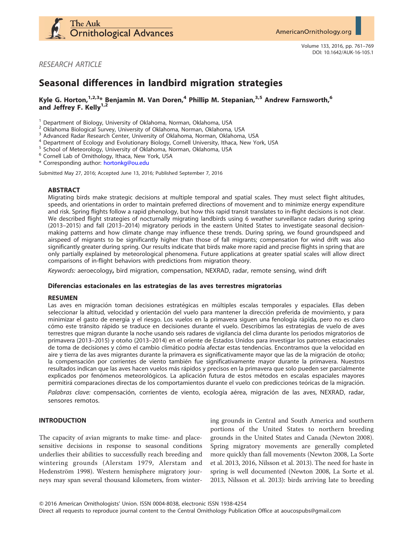

RESEARCH ARTICLE

# Seasonal differences in landbird migration strategies

# Kyle G. Horton,<sup>1,2,3</sup>\* Benjamin M. Van Doren,<sup>4</sup> Phillip M. Stepanian,<sup>3,5</sup> Andrew Farnsworth,<sup>6</sup> and Jeffrey F. Kelly $^{1,2}$

<sup>1</sup> Department of Biology, University of Oklahoma, Norman, Oklahoma, USA<br>
<sup>2</sup> Oklahoma Biological Survey, University of Oklahoma, Norman, Oklahoma, USA<br>
<sup>3</sup> Advanced Radar Research Center, University of Oklahoma, Norman,

\* Corresponding author: [hortonkg@ou.edu](mailto:hortonkg@ou.edu)

Submitted May 27, 2016; Accepted June 13, 2016; Published September 7, 2016

## ABSTRACT

Migrating birds make strategic decisions at multiple temporal and spatial scales. They must select flight altitudes, speeds, and orientations in order to maintain preferred directions of movement and to minimize energy expenditure and risk. Spring flights follow a rapid phenology, but how this rapid transit translates to in-flight decisions is not clear. We described flight strategies of nocturnally migrating landbirds using 6 weather surveillance radars during spring (2013–2015) and fall (2013–2014) migratory periods in the eastern United States to investigate seasonal decisionmaking patterns and how climate change may influence these trends. During spring, we found groundspeed and airspeed of migrants to be significantly higher than those of fall migrants; compensation for wind drift was also significantly greater during spring. Our results indicate that birds make more rapid and precise flights in spring that are only partially explained by meteorological phenomena. Future applications at greater spatial scales will allow direct comparisons of in-flight behaviors with predictions from migration theory.

Keywords: aeroecology, bird migration, compensation, NEXRAD, radar, remote sensing, wind drift

## Diferencias estacionales en las estrategias de las aves terrestres migratorias

#### RESUMEN

Las aves en migración toman decisiones estratégicas en múltiples escalas temporales y espaciales. Ellas deben seleccionar la altitud, velocidad y orientación del vuelo para mantener la dirección preferida de movimiento, y para minimizar el gasto de energía y el riesgo. Los vuelos en la primavera siguen una fenología rápida, pero no es claro cómo este tránsito rápido se traduce en decisiones durante el vuelo. Describimos las estrategias de vuelo de aves terrestres que migran durante la noche usando seis radares de vigilancia del clima durante los periodos migratorios de primavera (2013–2015) y otoño (2013–2014) en el oriente de Estados Unidos para investigar los patrones estacionales de toma de decisiones y cómo el cambio climático podría afectar estas tendencias. Encontramos que la velocidad en aire y tierra de las aves migrantes durante la primavera es significativamente mayor que las de la migración de otoño; la compensación por corrientes de viento también fue significativamente mayor durante la primavera. Nuestros resultados indican que las aves hacen vuelos más rápidos y precisos en la primavera que solo pueden ser parcialmente explicados por fenómenos meteorológicos. La aplicación futura de estos métodos en escalas espaciales mayores permitirá comparaciones directas de los comportamientos durante el vuelo con predicciones teóricas de la migración.

Palabras clave: compensación, corrientes de viento, ecología aérea, migración de las aves, NEXRAD, radar, sensores remotos.

## INTRODUCTION

The capacity of avian migrants to make time- and placesensitive decisions in response to seasonal conditions underlies their abilities to successfully reach breeding and wintering grounds (Alerstam 1979, Alerstam and Hedenström 1998). Western hemisphere migratory journeys may span several thousand kilometers, from winter-

ing grounds in Central and South America and southern portions of the United States to northern breeding grounds in the United States and Canada (Newton 2008). Spring migratory movements are generally completed more quickly than fall movements (Newton 2008, La Sorte et al. 2013, 2016, Nilsson et al. 2013). The need for haste in spring is well documented (Newton 2008, La Sorte et al. 2013, Nilsson et al. 2013): birds arriving late to breeding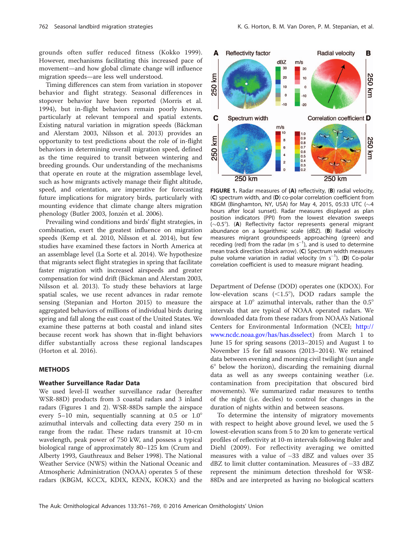grounds often suffer reduced fitness (Kokko 1999). However, mechanisms facilitating this increased pace of movement—and how global climate change will influence migration speeds—are less well understood.

Timing differences can stem from variation in stopover behavior and flight strategy. Seasonal differences in stopover behavior have been reported (Morris et al. 1994), but in-flight behaviors remain poorly known, particularly at relevant temporal and spatial extents. Existing natural variation in migration speeds (Bäckman and Alerstam 2003, Nilsson et al. 2013) provides an opportunity to test predictions about the role of in-flight behaviors in determining overall migration speed, defined as the time required to transit between wintering and breeding grounds. Our understanding of the mechanisms that operate en route at the migration assemblage level, such as how migrants actively manage their flight altitude, speed, and orientation, are imperative for forecasting future implications for migratory birds, particularly with mounting evidence that climate change alters migration phenology (Butler 2003, Jonzén et al. 2006).

Prevailing wind conditions and birds' flight strategies, in combination, exert the greatest influence on migration speeds (Kemp et al. 2010, Nilsson et al. 2014), but few studies have examined these factors in North America at an assemblage level (La Sorte et al. 2014). We hypothesize that migrants select flight strategies in spring that facilitate faster migration with increased airspeeds and greater compensation for wind drift (Bäckman and Alerstam 2003, Nilsson et al. 2013). To study these behaviors at large spatial scales, we use recent advances in radar remote sensing (Stepanian and Horton 2015) to measure the aggregated behaviors of millions of individual birds during spring and fall along the east coast of the United States. We examine these patterns at both coastal and inland sites because recent work has shown that in-flight behaviors differ substantially across these regional landscapes (Horton et al. 2016).

## **METHODS**

#### Weather Surveillance Radar Data

We used level-II weather surveillance radar (hereafter WSR-88D) products from 3 coastal radars and 3 inland radars (Figures 1 and 2). WSR-88Ds sample the airspace every 5–10 min, sequentially scanning at  $0.5$  or  $1.0^{\circ}$ azimuthal intervals and collecting data every 250 m in range from the radar. These radars transmit at 10-cm wavelength, peak power of 750 kW, and possess a typical biological range of approximately 80–125 km (Crum and Alberty 1993, Gauthreaux and Belser 1998). The National Weather Service (NWS) within the National Oceanic and Atmospheric Administration (NOAA) operates 5 of these radars (KBGM, KCCX, KDIX, KENX, KOKX) and the



FIGURE 1. Radar measures of (A) reflectivity, (B) radial velocity, (C) spectrum width, and (D) co-polar correlation coefficient from KBGM (Binghamton, NY, USA) for May 4, 2015, 05:33 UTC ( $\sim$ 4 hours after local sunset). Radar measures displayed as plan position indicators (PPI) from the lowest elevation sweeps  $(\sim 0.5^{\circ})$ . (A) Reflectivity factor represents general migrant abundance on a logarithmic scale (dBZ). (B) Radial velocity measures migrant groundspeeds approaching (green) and receding (red) from the radar (m  $s^{-1}$ ), and is used to determine mean track direction (black arrow). (C) Spectrum width measures pulse volume variation in radial velocity (m  $s^{-1}$ ). (D) Co-polar correlation coefficient is used to measure migrant heading.

Department of Defense (DOD) operates one (KDOX). For low-elevation scans  $(<1.5^{\circ}$ ), DOD radars sample the airspace at  $1.0^{\circ}$  azimuthal intervals, rather than the  $0.5^{\circ}$ intervals that are typical of NOAA operated radars. We downloaded data from these radars from NOAA's National Centers for Environmental Information (NCEI; [http://](http://www.ncdc.noaa.gov/has/has.dsselect) [www.ncdc.noaa.gov/has/has.dsselect](http://www.ncdc.noaa.gov/has/has.dsselect)) from March 1 to June 15 for spring seasons (2013–2015) and August 1 to November 15 for fall seasons (2013–2014). We retained data between evening and morning civil twilight (sun angle  $6^\circ$  below the horizon), discarding the remaining diurnal data as well as any sweeps containing weather (i.e. contamination from precipitation that obscured bird movements). We summarized radar measures to tenths of the night (i.e. deciles) to control for changes in the duration of nights within and between seasons.

To determine the intensity of migratory movements with respect to height above ground level, we used the 5 lowest-elevation scans from 5 to 20 km to generate vertical profiles of reflectivity at 10-m intervals following Buler and Diehl (2009). For reflectivity averaging we omitted measures with a value of -33 dBZ and values over 35 dBZ to limit clutter contamination. Measures of -33 dBZ represent the minimum detection threshold for WSR-88Ds and are interpreted as having no biological scatters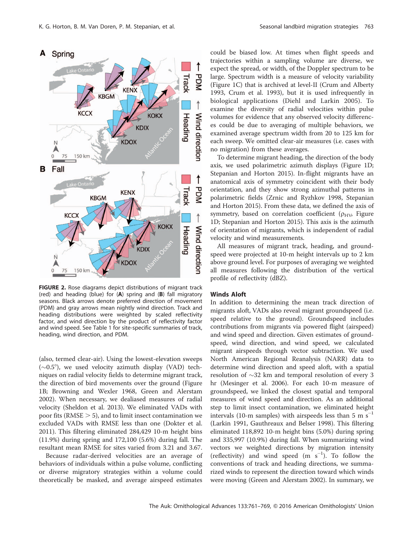

FIGURE 2. Rose diagrams depict distributions of migrant track (red) and heading (blue) for (A) spring and (B) fall migratory seasons. Black arrows denote preferred direction of movement (PDM) and gray arrows mean nightly wind direction. Track and heading distributions were weighted by scaled reflectivity factor, and wind direction by the product of reflectivity factor and wind speed. See Table 1 for site-specific summaries of track, heading, wind direction, and PDM.

(also, termed clear-air). Using the lowest-elevation sweeps  $(\sim 0.5^{\circ})$ , we used velocity azimuth display (VAD) techniques on radial velocity fields to determine migrant track, the direction of bird movements over the ground (Figure 1B; Browning and Wexler 1968, Green and Alerstam 2002). When necessary, we dealiased measures of radial velocity (Sheldon et al. 2013). We eliminated VADs with poor fits (RMSE  $>$  5), and to limit insect contamination we excluded VADs with RMSE less than one (Dokter et al. 2011). This filtering eliminated 284,429 10-m height bins (11.9%) during spring and 172,100 (5.6%) during fall. The resultant mean RMSE for sites varied from 3.21 and 3.67.

Because radar-derived velocities are an average of behaviors of individuals within a pulse volume, conflicting or diverse migratory strategies within a volume could theoretically be masked, and average airspeed estimates

could be biased low. At times when flight speeds and trajectories within a sampling volume are diverse, we expect the spread, or width, of the Doppler spectrum to be large. Spectrum width is a measure of velocity variability (Figure 1C) that is archived at level-II (Crum and Alberty 1993, Crum et al. 1993), but it is used infrequently in biological applications (Diehl and Larkin 2005). To examine the diversity of radial velocities within pulse volumes for evidence that any observed velocity differences could be due to averaging of multiple behaviors, we examined average spectrum width from 20 to 125 km for each sweep. We omitted clear-air measures (i.e. cases with no migration) from these averages.

To determine migrant heading, the direction of the body axis, we used polarimetric azimuth displays (Figure 1D; Stepanian and Horton 2015). In-flight migrants have an anatomical axis of symmetry coincident with their body orientation, and they show strong azimuthal patterns in polarimetric fields (Zrnic and Ryzhkov 1998, Stepanian and Horton 2015). From these data, we defined the axis of symmetry, based on correlation coefficient ( $\rho_{\text{HV}}$ , Figure 1D; Stepanian and Horton 2015). This axis is the azimuth of orientation of migrants, which is independent of radial velocity and wind measurements.

All measures of migrant track, heading, and groundspeed were projected at 10-m height intervals up to 2 km above ground level. For purposes of averaging we weighted all measures following the distribution of the vertical profile of reflectivity (dBZ).

#### Winds Aloft

In addition to determining the mean track direction of migrants aloft, VADs also reveal migrant groundspeed (i.e. speed relative to the ground). Groundspeed includes contributions from migrants via powered flight (airspeed) and wind speed and direction. Given estimates of groundspeed, wind direction, and wind speed, we calculated migrant airspeeds through vector subtraction. We used North American Regional Reanalysis (NARR) data to determine wind direction and speed aloft, with a spatial resolution of  $\sim$ 32 km and temporal resolution of every 3 hr (Mesinger et al. 2006). For each 10-m measure of groundspeed, we linked the closest spatial and temporal measures of wind speed and direction. As an additional step to limit insect contamination, we eliminated height intervals (10-m samples) with airspeeds less than 5 m  $\mathrm{s}^{-1}$ (Larkin 1991, Gauthreaux and Belser 1998). This filtering eliminated 118,892 10-m height bins (5.0%) during spring and 335,997 (10.9%) during fall. When summarizing wind vectors we weighted directions by migration intensity (reflectivity) and wind speed  $(m s<sup>-1</sup>)$ . To follow the conventions of track and heading directions, we summarized winds to represent the direction toward which winds were moving (Green and Alerstam 2002). In summary, we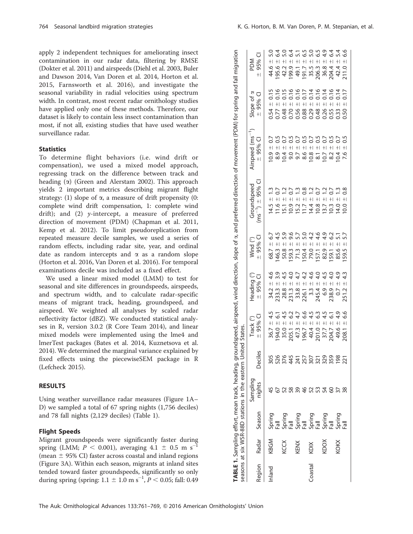apply 2 independent techniques for ameliorating insect contamination in our radar data, filtering by RMSE (Dokter et al. 2011) and airspeeds (Diehl et al. 2003, Buler and Dawson 2014, Van Doren et al. 2014, Horton et al. 2015, Farnsworth et al. 2016), and investigate the seasonal variability in radial velocities using spectrum width. In contrast, most recent radar ornithology studies have applied only one of these methods. Therefore, our dataset is likely to contain less insect contamination than most, if not all, existing studies that have used weather surveillance radar.

## **Statistics**

To determine flight behaviors (i.e. wind drift or compensation), we used a mixed model approach, regressing track on the difference between track and heading  $(\alpha)$  (Green and Alerstam 2002). This approach yields 2 important metrics describing migrant flight strategy: (1) slope of  $\alpha$ , a measure of drift propensity (0: complete wind drift compensation, 1: complete wind drift); and (2) y-intercept, a measure of preferred direction of movement (PDM) (Chapman et al. 2011, Kemp et al. 2012). To limit pseudoreplication from repeated measure decile samples, we used a series of random effects, including radar site, year, and ordinal date as random intercepts and  $\alpha$  as a random slope (Horton et al. 2016, Van Doren et al. 2016). For temporal examinations decile was included as a fixed effect.

We used a linear mixed model (LMM) to test for seasonal and site differences in groundspeeds, airspeeds, and spectrum width, and to calculate radar-specific means of migrant track, heading, groundspeed, and airspeed. We weighted all analyses by scaled radar reflectivity factor (dBZ). We conducted statistical analyses in R, version 3.0.2 (R Core Team 2014), and linear mixed models were implemented using the lme4 and lmerTest packages (Bates et al. 2014, Kuznetsova et al. 2014). We determined the marginal variance explained by fixed effects using the piecewiseSEM package in R (Lefcheck 2015).

#### RESULTS

Using weather surveillance radar measures (Figure 1A– D) we sampled a total of 67 spring nights (1,756 deciles) and 78 fall nights (2,129 deciles) (Table 1).

## Flight Speeds

Migrant groundspeeds were significantly faster during spring (LMM;  $P < 0.001$ ), averaging 4.1  $\pm$  0.5 m s<sup>-</sup>  $\overline{1}$ (mean  $\pm$  95% CI) faster across coastal and inland regions (Figure 3A). Within each season, migrants at inland sites tended toward faster groundspeeds, significantly so only during spring (spring:  $1.1 \pm 1.0$  m s<sup>-1</sup>,  $P < 0.05$ ; fall: 0.49

seasons at six WSR-88D stations in the eastern United States.

|  |  |  |  | G. Horton, B. M. Van Doren, P. M. Stepanian, et al. |  |
|--|--|--|--|-----------------------------------------------------|--|

|        |       |                                                                                                                   | easons at six WSR-88D stations in the eastern Uniter |                                                                                 | States.                            |                                               |                                              | <b>ABLE 1.</b> Sampling effort, mean track, heading, groundspeed, airspeed, wind direction, slope of $\alpha$ , and preferred direction of movement (PDM) for spring and fall migration |                                                     |                                                                     |                                            |
|--------|-------|-------------------------------------------------------------------------------------------------------------------|------------------------------------------------------|---------------------------------------------------------------------------------|------------------------------------|-----------------------------------------------|----------------------------------------------|-----------------------------------------------------------------------------------------------------------------------------------------------------------------------------------------|-----------------------------------------------------|---------------------------------------------------------------------|--------------------------------------------|
| egion  | Radar | Season                                                                                                            | Sampling<br>nights                                   | Deciles                                                                         | $\pm$ 95% $\text{Cl}$<br>Track (°) | Heading (°)<br>$± 95%$ CI                     | $±$ 95% $Cl$<br>Wind (°)                     | $\text{ms}^{-1}$ ) $\pm$ 95% C<br>Groundspeed                                                                                                                                           | Airspeed (ms <sup>-1</sup> )<br>$\pm$ 95% $\subset$ | Slope of $\alpha$<br>$- 95%$ CI                                     | $±$ 95% $Cl$<br><b>PDM</b>                 |
| Inland | KBGM  |                                                                                                                   |                                                      |                                                                                 | 4.5                                | 4.6                                           | 6.7<br>68.7 ±                                | $14.5 +$                                                                                                                                                                                | 0.7<br>$+1$<br>0.9                                  | 0.15                                                                | S.G<br>$+1$<br>44.6                        |
|        |       |                                                                                                                   |                                                      |                                                                                 | $194.0 +$                          |                                               | 4.5<br>$+1$<br>46.3                          | $\overline{0}$<br>$+1$<br>11.6                                                                                                                                                          | $+1$                                                | $+1$                                                                | $+1$<br>195.6                              |
|        | KCCX  |                                                                                                                   |                                                      |                                                                                 | 4.5                                | 4.5                                           | 5.9<br>$\qquad \qquad + \,$<br>50.8          | $\qquad \qquad + \,$<br>15.1                                                                                                                                                            | $+$                                                 | $\ddot{+}$                                                          | 5.0<br>$+1$                                |
|        |       |                                                                                                                   | 58                                                   |                                                                                 |                                    |                                               | $+$<br>59.3                                  | $+$<br>10.9                                                                                                                                                                             | $+1$                                                | $+1$                                                                | $+1$<br>42.2<br>199.9                      |
|        | KENX  |                                                                                                                   | 39                                                   |                                                                                 | 0<br>0 4<br>0 6                    |                                               | $+$<br>71.3                                  | $\qquad \qquad + \,$                                                                                                                                                                    | $+1$                                                | $+1$                                                                | $+1$<br>49.1                               |
|        |       |                                                                                                                   |                                                      |                                                                                 |                                    |                                               | $+1$<br>50.4                                 | $+1$                                                                                                                                                                                    | $+1$                                                | $\ddot{+}$                                                          | $+1$<br>191.7                              |
| istal  | KDIX  |                                                                                                                   |                                                      |                                                                                 | $4.5$<br>6.3                       | $3.3 +$                                       | $+1$<br>79.0                                 | $+1$<br>$15748$<br>$-140$<br>$-16$                                                                                                                                                      | $+1$<br>$8.6$<br>$0.8$<br>$8.1$                     | $\ddot{+}$                                                          | $+1$<br>$35.5$<br>$206.3$<br>$36.8$        |
|        |       |                                                                                                                   |                                                      |                                                                                 |                                    | $245.4 \pm$                                   | $+1$<br>57.1                                 | $+1$                                                                                                                                                                                    | $+1$                                                | $\ddot{+}$                                                          | $+1$                                       |
|        | KDOX  | הם<br>הם הם הם הם הם הם הם<br>הם הם הם הם הם הם<br>הם הם הם הם הם הם<br>הם הם הם הם הם הם הם<br>הם הם הם הם הם הם | 423485                                               | 8 8 8 8 7 8 9 8 9 8 9 8<br>0 8 8 8 4 4 9 0 9 8 9 9 9<br>0 9 8 9 7 8 9 9 9 9 9 9 | 4.5                                | d 4 4 4 4 4 4 4<br>O V V O O N O O<br>$6.9 +$ | o ro ro do r<br>o ro ro do r<br>$+1$<br>82.9 | 25282525<br>$+1$<br>13.7                                                                                                                                                                | $+1$<br>10.7                                        | $+1$<br>5<br>5 5 8 5 9 8 9 8 9 9 9 9 9 9<br>5 5 5 5 6 6 6 6 6 6 6 6 | ることのこの4 4 6<br>4 4 4 6 6 9 9 4 4 6<br>$+1$ |
|        |       |                                                                                                                   |                                                      |                                                                                 | $\overline{6}$<br>$+1$             | $238.9 +$                                     | $+1$<br>59.1                                 | $+$<br>10.3                                                                                                                                                                             | $+1$<br>$\frac{8.2}{0.4}$                           | $\ddot{+}$                                                          | $+1$                                       |
|        | KOKX  |                                                                                                                   |                                                      |                                                                                 | 4.9                                | $+1$<br>$\overline{0}$                        | $+1$<br>85.6                                 | $+1$<br>14.0                                                                                                                                                                            | $+$                                                 | $+1$                                                                | $+1$<br>204.4<br>42.4                      |
|        |       |                                                                                                                   |                                                      | 221                                                                             | 6.6<br>$+1$<br>208.1               | 4.3<br>$+1$<br>251.2                          | $\frac{1}{2}$<br>59.5                        | $\frac{8}{2}$<br>$+$<br>$\frac{0}{2}$                                                                                                                                                   | 0.5<br>$+1$<br>7.6                                  | 0.17<br>$+1$                                                        | $+$<br>211.0                               |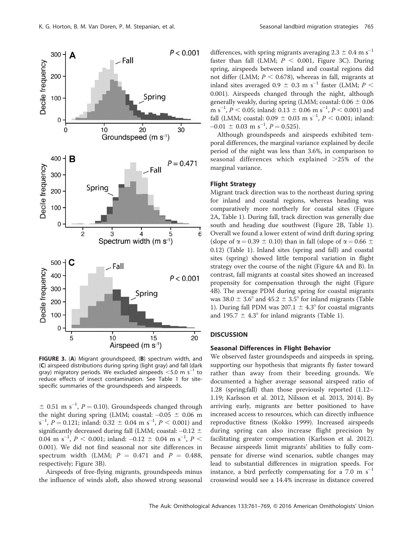

FIGURE 3. (A) Migrant groundspeed, (B) spectrum width, and (C) airspeed distributions during spring (light gray) and fall (dark gray) migratory periods. We excluded airspeeds  $\leq$ 5.0 m s<sup>-1</sup> to reduce effects of insect contamination. See Table 1 for sitespecific summaries of the groundspeeds and airspeeds.

 $\pm$  0.51 m s<sup>-1</sup>, P = 0.10). Groundspeeds changed through the night during spring (LMM; coastal:  $-0.05 \pm 0.06$  m  $s^{-1}$ ,  $P = 0.121$ ; inland:  $0.32 \pm 0.04$  m  $s^{-1}$ ,  $P < 0.001$ ) and significantly decreased during fall (LMM; coastal: –0.12  $\pm$ 0.04 m s<sup>-1</sup>,  $P < 0.001$ ; inland: -0.12  $\pm$  0.04 m s<sup>-1</sup>,  $P <$ 0.001). We did not find seasonal nor site differences in spectrum width (LMM;  $P = 0.471$  and  $P = 0.488$ , respectively; Figure 3B).

Airspeeds of free-flying migrants, groundspeeds minus the influence of winds aloft, also showed strong seasonal

differences, with spring migrants averaging  $2.3 \pm 0.4$  m s<sup>-1</sup> faster than fall (LMM;  $P \le 0.001$ , Figure 3C). During spring, airspeeds between inland and coastal regions did not differ (LMM;  $P < 0.678$ ), whereas in fall, migrants at inland sites averaged 0.9  $\pm$  0.3 m s<sup>-1</sup> faster (LMM; P  $<$ 0.001). Airspeeds changed through the night, although generally weakly, during spring (LMM; coastal:  $0.06 \pm 0.06$ ) m s<sup>-1</sup>, *P* < 0.05; inland: 0.13  $\pm$  0.06 m s<sup>-1</sup>, *P* < 0.001) and fall (LMM; coastal:  $0.09 \pm 0.03$  m s<sup>-1</sup>,  $P < 0.001$ ; inland:  $-0.01 \pm 0.03$  m s<sup>-1</sup>,  $P = 0.525$ ).

Although groundspeeds and airspeeds exhibited temporal differences, the marginal variance explained by decile period of the night was less than 3.6%, in comparison to seasonal differences which explained  $>25\%$  of the marginal variance.

## Flight Strategy

Migrant track direction was to the northeast during spring for inland and coastal regions, whereas heading was comparatively more northerly for coastal sites (Figure 2A, Table 1). During fall, track direction was generally due south and heading due southwest (Figure 2B, Table 1). Overall we found a lower extent of wind drift during spring (slope of  $\alpha = 0.39 \pm 0.10$ ) than in fall (slope of  $\alpha = 0.66 \pm 0.66$ 0.12) (Table 1). Inland sites (spring and fall) and coastal sites (spring) showed little temporal variation in flight strategy over the course of the night (Figure 4A and B). In contrast, fall migrants at coastal sites showed an increased propensity for compensation through the night (Figure 4B). The average PDM during spring for coastal migrants was 38.0  $\pm$  3.6° and 45.2  $\pm$  3.5° for inland migrants (Table 1). During fall PDM was  $207.1 \pm 4.3^{\circ}$  for coastal migrants and 195.7  $\pm$  4.3° for inland migrants (Table 1).

# **DISCUSSION**

# Seasonal Differences in Flight Behavior

We observed faster groundspeeds and airspeeds in spring, supporting our hypothesis that migrants fly faster toward rather than away from their breeding grounds. We documented a higher average seasonal airspeed ratio of 1.28 (spring:fall) than those previously reported (1.12– 1.19; Karlsson et al. 2012, Nilsson et al. 2013, 2014). By arriving early, migrants are better positioned to have increased access to resources, which can directly influence reproductive fitness (Kokko 1999). Increased airspeeds during spring can also increase flight precision by facilitating greater compensation (Karlsson et al. 2012). Because airspeeds limit migrants' abilities to fully compensate for diverse wind scenarios, subtle changes may lead to substantial differences in migration speeds. For instance, a bird perfectly compensating for a  $7.0 \text{ m s}^{-1}$ crosswind would see a 14.4% increase in distance covered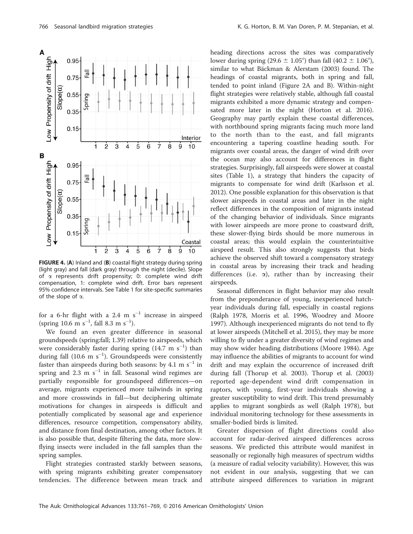A





FIGURE 4. (A) Inland and (B) coastal flight strategy during spring (light gray) and fall (dark gray) through the night (decile). Slope of a represents drift propensity; 0: complete wind drift compensation, 1: complete wind drift. Error bars represent 95% confidence intervals. See Table 1 for site-specific summaries of the slope of  $\alpha$ .

for a 6-hr flight with a 2.4 m  $s^{-1}$  increase in airspeed (spring 10.6 m  $s^{-1}$ , fall 8.3 m  $s^{-1}$ ).

We found an even greater difference in seasonal groundspeeds (spring:fall; 1.39) relative to airspeeds, which were considerably faster during spring  $(14.7 \text{ m s}^{-1})$  than during fall (10.6 m  $s^{-1}$ ). Groundspeeds were consistently faster than airspeeds during both seasons: by 4.1 m  $s^{-1}$  in spring and  $2.3 \text{ m s}^{-1}$  in fall. Seasonal wind regimes are partially responsible for groundspeed differences—on average, migrants experienced more tailwinds in spring and more crosswinds in fall—but deciphering ultimate motivations for changes in airspeeds is difficult and potentially complicated by seasonal age and experience differences, resource competition, compensatory ability, and distance from final destination, among other factors. It is also possible that, despite filtering the data, more slowflying insects were included in the fall samples than the spring samples.

Flight strategies contrasted starkly between seasons, with spring migrants exhibiting greater compensatory tendencies. The difference between mean track and

heading directions across the sites was comparatively lower during spring (29.6  $\pm$  1.05°) than fall (40.2  $\pm$  1.06°), similar to what Bäckman & Alerstam (2003) found. The headings of coastal migrants, both in spring and fall, tended to point inland (Figure 2A and B). Within-night flight strategies were relatively stable, although fall coastal migrants exhibited a more dynamic strategy and compensated more later in the night (Horton et al. 2016). Geography may partly explain these coastal differences, with northbound spring migrants facing much more land to the north than to the east, and fall migrants encountering a tapering coastline heading south. For migrants over coastal areas, the danger of wind drift over the ocean may also account for differences in flight strategies. Surprisingly, fall airspeeds were slower at coastal sites (Table 1), a strategy that hinders the capacity of migrants to compensate for wind drift (Karlsson et al. 2012). One possible explanation for this observation is that slower airspeeds in coastal areas and later in the night reflect differences in the composition of migrants instead of the changing behavior of individuals. Since migrants with lower airspeeds are more prone to coastward drift, these slower-flying birds should be more numerous in coastal areas; this would explain the counterintuitive airspeed result. This also strongly suggests that birds achieve the observed shift toward a compensatory strategy in coastal areas by increasing their track and heading differences (i.e.  $\alpha$ ), rather than by increasing their airspeeds.

Seasonal differences in flight behavior may also result from the preponderance of young, inexperienced hatchyear individuals during fall, especially in coastal regions (Ralph 1978, Morris et al. 1996, Woodrey and Moore 1997). Although inexperienced migrants do not tend to fly at lower airspeeds (Mitchell et al. 2015), they may be more willing to fly under a greater diversity of wind regimes and may show wider heading distributions (Moore 1984). Age may influence the abilities of migrants to account for wind drift and may explain the occurrence of increased drift during fall (Thorup et al. 2003). Thorup et al. (2003) reported age-dependent wind drift compensation in raptors, with young, first-year individuals showing a greater susceptibility to wind drift. This trend presumably applies to migrant songbirds as well (Ralph 1978), but individual monitoring technology for these assessments in smaller-bodied birds is limited.

Greater dispersion of flight directions could also account for radar-derived airspeed differences across seasons. We predicted this attribute would manifest in seasonally or regionally high measures of spectrum widths (a measure of radial velocity variability). However, this was not evident in our analysis, suggesting that we can attribute airspeed differences to variation in migrant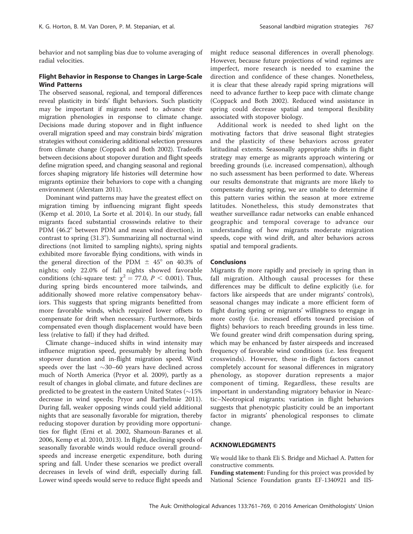behavior and not sampling bias due to volume averaging of radial velocities.

# Flight Behavior in Response to Changes in Large-Scale Wind Patterns

The observed seasonal, regional, and temporal differences reveal plasticity in birds' flight behaviors. Such plasticity may be important if migrants need to advance their migration phenologies in response to climate change. Decisions made during stopover and in flight influence overall migration speed and may constrain birds' migration strategies without considering additional selection pressures from climate change (Coppack and Both 2002). Tradeoffs between decisions about stopover duration and flight speeds define migration speed, and changing seasonal and regional forces shaping migratory life histories will determine how migrants optimize their behaviors to cope with a changing environment (Alerstam 2011).

Dominant wind patterns may have the greatest effect on migration timing by influencing migrant flight speeds (Kemp et al. 2010, La Sorte et al. 2014). In our study, fall migrants faced substantial crosswinds relative to their PDM (46.2° between PDM and mean wind direction), in contrast to spring  $(31.3^{\circ})$ . Summarizing all nocturnal wind directions (not limited to sampling nights), spring nights exhibited more favorable flying conditions, with winds in the general direction of the PDM  $\pm$  45° on 40.3% of nights; only 22.0% of fall nights showed favorable conditions (chi-square test:  $\chi^2 = 77.0$ ,  $P < 0.001$ ). Thus, during spring birds encountered more tailwinds, and additionally showed more relative compensatory behaviors. This suggests that spring migrants benefitted from more favorable winds, which required lower offsets to compensate for drift when necessary. Furthermore, birds compensated even though displacement would have been less (relative to fall) if they had drifted.

Climate change–induced shifts in wind intensity may influence migration speed, presumably by altering both stopover duration and in-flight migration speed. Wind speeds over the last  $\sim$ 30–60 years have declined across much of North America (Pryor et al. 2009), partly as a result of changes in global climate, and future declines are predicted to be greatest in the eastern United States  $(\sim15\%$ decrease in wind speeds; Pryor and Barthelmie 2011). During fall, weaker opposing winds could yield additional nights that are seasonally favorable for migration, thereby reducing stopover duration by providing more opportunities for flight (Erni et al. 2002, Shamoun-Baranes et al. 2006, Kemp et al. 2010, 2013). In flight, declining speeds of seasonally favorable winds would reduce overall groundspeeds and increase energetic expenditure, both during spring and fall. Under these scenarios we predict overall decreases in levels of wind drift, especially during fall. Lower wind speeds would serve to reduce flight speeds and

might reduce seasonal differences in overall phenology. However, because future projections of wind regimes are imperfect, more research is needed to examine the direction and confidence of these changes. Nonetheless, it is clear that these already rapid spring migrations will need to advance further to keep pace with climate change (Coppack and Both 2002). Reduced wind assistance in spring could decrease spatial and temporal flexibility associated with stopover biology.

Additional work is needed to shed light on the motivating factors that drive seasonal flight strategies and the plasticity of these behaviors across greater latitudinal extents. Seasonally appropriate shifts in flight strategy may emerge as migrants approach wintering or breeding grounds (i.e. increased compensation), although no such assessment has been performed to date. Whereas our results demonstrate that migrants are more likely to compensate during spring, we are unable to determine if this pattern varies within the season at more extreme latitudes. Nonetheless, this study demonstrates that weather surveillance radar networks can enable enhanced geographic and temporal coverage to advance our understanding of how migrants moderate migration speeds, cope with wind drift, and alter behaviors across spatial and temporal gradients.

#### **Conclusions**

Migrants fly more rapidly and precisely in spring than in fall migration. Although causal processes for these differences may be difficult to define explicitly (i.e. for factors like airspeeds that are under migrants' controls), seasonal changes may indicate a more efficient form of flight during spring or migrants' willingness to engage in more costly (i.e. increased efforts toward precision of flights) behaviors to reach breeding grounds in less time. We found greater wind drift compensation during spring, which may be enhanced by faster airspeeds and increased frequency of favorable wind conditions (i.e. less frequent crosswinds). However, these in-flight factors cannot completely account for seasonal differences in migratory phenology, as stopover duration represents a major component of timing. Regardless, these results are important in understanding migratory behavior in Nearctic–Neotropical migrants; variation in flight behaviors suggests that phenotypic plasticity could be an important factor in migrants' phenological responses to climate change.

#### ACKNOWLEDGMENTS

We would like to thank Eli S. Bridge and Michael A. Patten for constructive comments.

Funding statement: Funding for this project was provided by National Science Foundation grants EF-1340921 and IIS-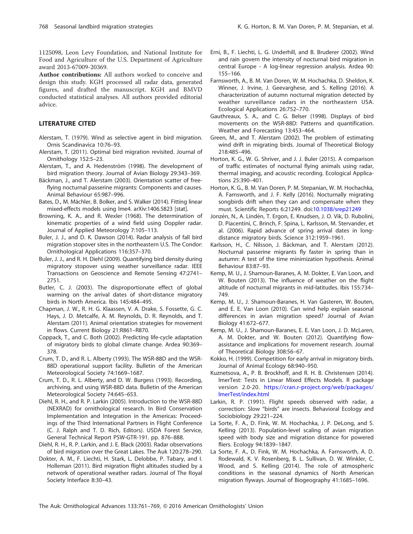1125098, Leon Levy Foundation, and National Institute for Food and Agriculture of the U.S. Department of Agriculture award 2013-67009-20369.

Author contributions: All authors worked to conceive and design this study. KGH processed all radar data, generated figures, and drafted the manuscript. KGH and BMVD conducted statistical analyses. All authors provided editorial advice.

# LITERATURE CITED

- Alerstam, T. (1979). Wind as selective agent in bird migration. Ornis Scandinavica 10:76–93.
- Alerstam, T. (2011). Optimal bird migration revisited. Journal of Ornithology 152:5–23.
- Alerstam, T., and A. Hedenström (1998). The development of bird migration theory. Journal of Avian Biology 29:343–369.
- Bäckman, J., and T. Alerstam (2003). Orientation scatter of freeflying nocturnal passerine migrants: Components and causes. Animal Behaviour 65:987–996.
- Bates, D., M. Mächler, B. Bolker, and S. Walker (2014). Fitting linear mixed-effects models using lme4. arXiv:1406.5823 [stat].
- Browning, K. A., and R. Wexler (1968). The determination of kinematic properties of a wind field using Doppler radar. Journal of Applied Meteorology 7:105–113.
- Buler, J. J., and D. K. Dawson (2014). Radar analysis of fall bird migration stopover sites in the northeastern U.S. The Condor: Ornithological Applications 116:357–370.
- Buler, J. J., and R. H. Diehl (2009). Quantifying bird density during migratory stopover using weather surveillance radar. IEEE Transactions on Geoscience and Remote Sensing 47:2741– 2751.
- Butler, C. J. (2003). The disproportionate effect of global warming on the arrival dates of short-distance migratory birds in North America. Ibis 145:484–495.
- Chapman, J. W., R. H. G. Klaassen, V. A. Drake, S. Fossette, G. C. Hays, J. D. Metcalfe, A. M. Reynolds, D. R. Reynolds, and T. Alerstam (2011). Animal orientation strategies for movement in flows. Current Biology 21:R861–R870.
- Coppack, T., and C. Both (2002). Predicting life-cycle adaptation of migratory birds to global climate change. Ardea 90:369– 378.
- Crum, T. D., and R. L. Alberty (1993). The WSR-88D and the WSR-88D operational support facility. Bulletin of the American Meteorological Society 74:1669–1687.
- Crum, T. D., R. L. Alberty, and D. W. Burgess (1993). Recording, archiving, and using WSR-88D data. Bulletin of the American Meteorological Society 74:645–653.
- Diehl, R. H., and R. P. Larkin (2005). Introduction to the WSR-88D (NEXRAD) for ornithological research. In Bird Conservation Implementation and Integration in the Americas: Proceedings of the Third International Partners in Flight Conference (C. J. Ralph and T. D. Rich, Editors). USDA Forest Service, General Technical Report PSW-GTR-191. pp. 876–888.
- Diehl, R. H., R. P. Larkin, and J. E. Black (2003). Radar observations of bird migration over the Great Lakes. The Auk 120:278–290.
- Dokter, A. M., F. Liechti, H. Stark, L. Delobbe, P. Tabary, and I. Holleman (2011). Bird migration flight altitudes studied by a network of operational weather radars. Journal of The Royal Society Interface 8:30–43.
- Erni, B., F. Liechti, L. G. Underhill, and B. Bruderer (2002). Wind and rain govern the intensity of nocturnal bird migration in central Europe - A log-linear regression analysis. Ardea 90: 155–166.
- Farnsworth, A., B. M. Van Doren, W. M. Hochachka, D. Sheldon, K. Winner, J. Irvine, J. Geevarghese, and S. Kelling (2016). A characterization of autumn nocturnal migration detected by weather surveillance radars in the northeastern USA. Ecological Applications 26:752–770.
- Gauthreaux, S. A., and C. G. Belser (1998). Displays of bird movements on the WSR-88D: Patterns and quantification. Weather and Forecasting 13:453–464.
- Green, M., and T. Alerstam (2002). The problem of estimating wind drift in migrating birds. Journal of Theoretical Biology 218:485–496.
- Horton, K. G., W. G. Shriver, and J. J. Buler (2015). A comparison of traffic estimates of nocturnal flying animals using radar, thermal imaging, and acoustic recording. Ecological Applications 25:390–401.
- Horton, K. G., B. M. Van Doren, P. M. Stepanian, W. M. Hochachka, A. Farnsworth, and J. F. Kelly (2016). Nocturnally migrating songbirds drift when they can and compensate when they must. Scientific Reports 6:21249. doi[:10.1038/srep21249](dx.doi.org/10.1038/srep21249)
- Jonzén, N., A. Lindén, T. Ergon, E. Knudsen, J. O. Vik, D. Rubolini, D. Piacentini, C. Brinch, F. Spina, L. Karlsson, M. Stervander, et al. (2006). Rapid advance of spring arrival dates in longdistance migratory birds. Science 312:1959–1961.
- Karlsson, H., C. Nilsson, J. Bäckman, and T. Alerstam (2012). Nocturnal passerine migrants fly faster in spring than in autumn: A test of the time minimization hypothesis. Animal Behaviour 83:87–93.
- Kemp, M. U., J. Shamoun-Baranes, A. M. Dokter, E. Van Loon, and W. Bouten (2013). The influence of weather on the flight altitude of nocturnal migrants in mid-latitudes. Ibis 155:734– 749.
- Kemp, M. U., J. Shamoun-Baranes, H. Van Gasteren, W. Bouten, and E. E. Van Loon (2010). Can wind help explain seasonal differences in avian migration speed? Journal of Avian Biology 41:672–677.
- Kemp, M. U., J. Shamoun-Baranes, E. E. Van Loon, J. D. McLaren, A. M. Dokter, and W. Bouten (2012). Quantifying flowassistance and implications for movement research. Journal of Theoretical Biology 308:56–67.
- Kokko, H. (1999). Competition for early arrival in migratory birds. Journal of Animal Ecology 68:940–950.
- Kuznetsova, A., P. B. Brockhoff, and R. H. B. Christensen (2014). lmerTest: Tests in Linear Mixed Effects Models. R package version 2.0-20. [https://cran.r-project.org/web/packages/](https://cran.r-project.org/web/packages/lmerTest/index.html) [lmerTest/index.html](https://cran.r-project.org/web/packages/lmerTest/index.html)
- Larkin, R. P. (1991). Flight speeds observed with radar, a correction: Slow ''birds'' are insects. Behavioral Ecology and Sociobiology 29:221–224.
- La Sorte, F. A., D. Fink, W. M. Hochachka, J. P. DeLong, and S. Kelling (2013). Population-level scaling of avian migration speed with body size and migration distance for powered fliers. Ecology 94:1839–1847.
- La Sorte, F. A., D. Fink, W. M. Hochachka, A. Farnsworth, A. D. Rodewald, K. V. Rosenberg, B. L. Sullivan, D. W. Winkler, C. Wood, and S. Kelling (2014). The role of atmospheric conditions in the seasonal dynamics of North American migration flyways. Journal of Biogeography 41:1685–1696.